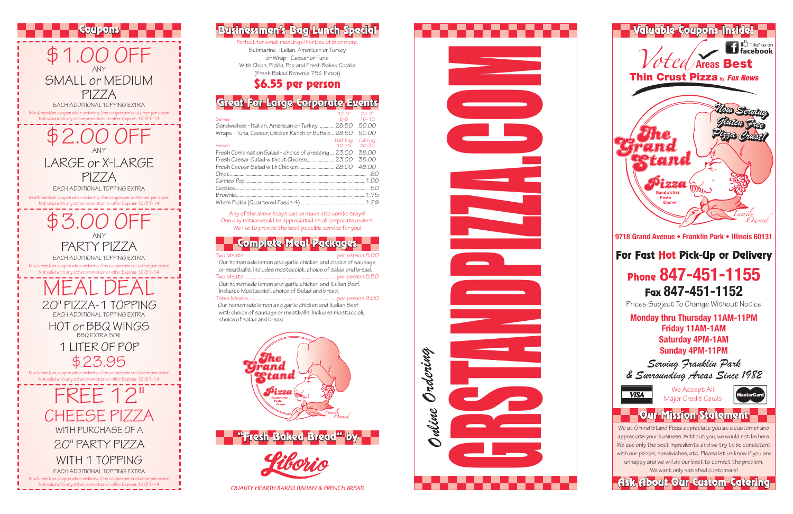

Perfect for small meetings! Parties of 8 or more Submarine -Italian, American or Turkey or Wrap - Caesar or Tuna With Chips, Pickle, Pop and Fresh Baked Cookie (Fresh Baked Brownie 75¢ Extra)

### Any of the above trays can be made into combo trays! One day notice would be appreciated on all corporate orders. We like to provide the best possible service for you!





Complete Meal Packages Two Meats .............................................................................per person 8.00 Our homemade lemon and garlic chicken and choice of sausage or meatballs. Includes mostaccioli, choice of salad and bread. per person 8.50 Our homemade lemon and garlic chicken and Italian Beef. Includes Mostaccioli, choice of Salad and bread. per person 9.00. Our homemade lemon and garlic chicken and Italian Beef

with choice of sausage or meatballs. Includes mostaccioli, choice of salad and bread.

### \$6.55 per person

# Great For Large Corporate Events

|                                                      | 12-3"                  | $24 - 3"$              |
|------------------------------------------------------|------------------------|------------------------|
| <b>Serves</b>                                        | $6-8$                  | $10 - 15$              |
| Sandwiches - Italian, American or Turkey  28.50      |                        | 50.00                  |
| Wraps - Tuna, Caesar, Chicken Ranch or Buffalo 28.50 |                        | 50.00                  |
| <b>Serves</b>                                        | Half Tray<br>$10 - 15$ | Full Tray<br>$20 - 30$ |
| Fresh Combination Salad - choice of dressing 23.00   |                        | 38.00                  |
|                                                      |                        | 38.00                  |
|                                                      |                        | 48.00                  |
|                                                      |                        |                        |
|                                                      |                        |                        |
|                                                      |                        |                        |
|                                                      |                        |                        |
|                                                      |                        |                        |
|                                                      |                        |                        |

*QUALITY HEARTH BAKED ITALIAN & FRENCH BREAD*